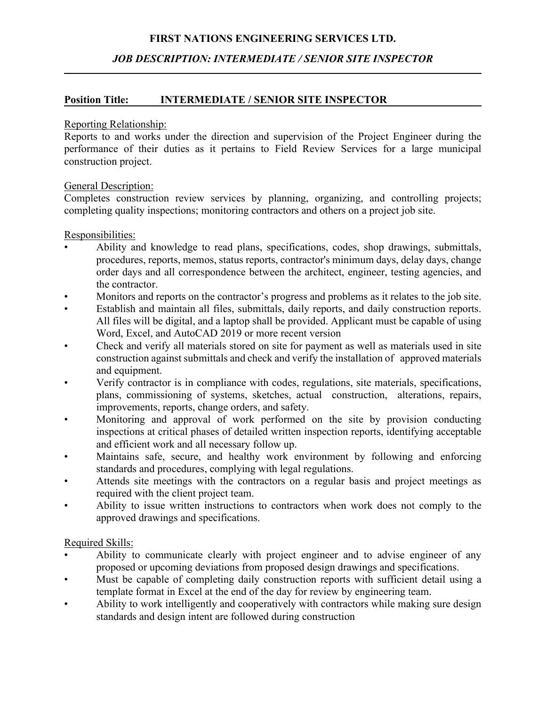## **FIRST NATIONS ENGINEERING SERVICES LTD.**

## *JOB DESCRIPTION: INTERMEDIATE / SENIOR SITE INSPECTOR*

### **Position Title: INTERMEDIATE / SENIOR SITE INSPECTOR**

#### Reporting Relationship:

Reports to and works under the direction and supervision of the Project Engineer during the performance of their duties as it pertains to Field Review Services for a large municipal construction project.

### General Description:

Completes construction review services by planning, organizing, and controlling projects; completing quality inspections; monitoring contractors and others on a project job site.

#### Responsibilities:

- Ability and knowledge to read plans, specifications, codes, shop drawings, submittals, procedures, reports, memos, status reports, contractor's minimum days, delay days, change order days and all correspondence between the architect, engineer, testing agencies, and the contractor.
- Monitors and reports on the contractor's progress and problems as it relates to the job site.
- Establish and maintain all files, submittals, daily reports, and daily construction reports. All files will be digital, and a laptop shall be provided. Applicant must be capable of using Word, Excel, and AutoCAD 2019 or more recent version
- Check and verify all materials stored on site for payment as well as materials used in site construction against submittals and check and verify the installation of approved materials and equipment.
- Verify contractor is in compliance with codes, regulations, site materials, specifications, plans, commissioning of systems, sketches, actual construction, alterations, repairs, improvements, reports, change orders, and safety.
- Monitoring and approval of work performed on the site by provision conducting inspections at critical phases of detailed written inspection reports, identifying acceptable and efficient work and all necessary follow up.
- Maintains safe, secure, and healthy work environment by following and enforcing standards and procedures, complying with legal regulations.
- Attends site meetings with the contractors on a regular basis and project meetings as required with the client project team.
- Ability to issue written instructions to contractors when work does not comply to the approved drawings and specifications.

### Required Skills:

- Ability to communicate clearly with project engineer and to advise engineer of any proposed or upcoming deviations from proposed design drawings and specifications.
- Must be capable of completing daily construction reports with sufficient detail using a template format in Excel at the end of the day for review by engineering team.
- Ability to work intelligently and cooperatively with contractors while making sure design standards and design intent are followed during construction